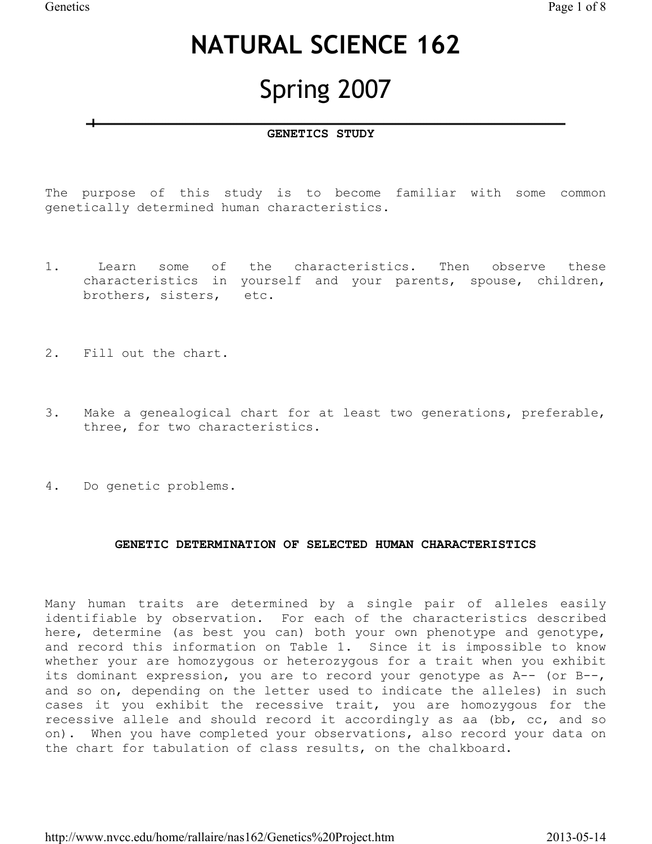# NATURAL SCIENCE 162

## Spring 2007

### GENETICS STUDY

The purpose of this study is to become familiar with some common genetically determined human characteristics.

- 1. Learn some of the characteristics. Then observe these characteristics in yourself and your parents, spouse, children, brothers, sisters, etc.
- 2. Fill out the chart.
- 3. Make a genealogical chart for at least two generations, preferable, three, for two characteristics.
- 4. Do genetic problems.

#### GENETIC DETERMINATION OF SELECTED HUMAN CHARACTERISTICS

Many human traits are determined by a single pair of alleles easily identifiable by observation. For each of the characteristics described here, determine (as best you can) both your own phenotype and genotype, and record this information on Table 1. Since it is impossible to know whether your are homozygous or heterozygous for a trait when you exhibit its dominant expression, you are to record your genotype as A-- (or B--, and so on, depending on the letter used to indicate the alleles) in such cases it you exhibit the recessive trait, you are homozygous for the recessive allele and should record it accordingly as aa (bb, cc, and so on). When you have completed your observations, also record your data on the chart for tabulation of class results, on the chalkboard.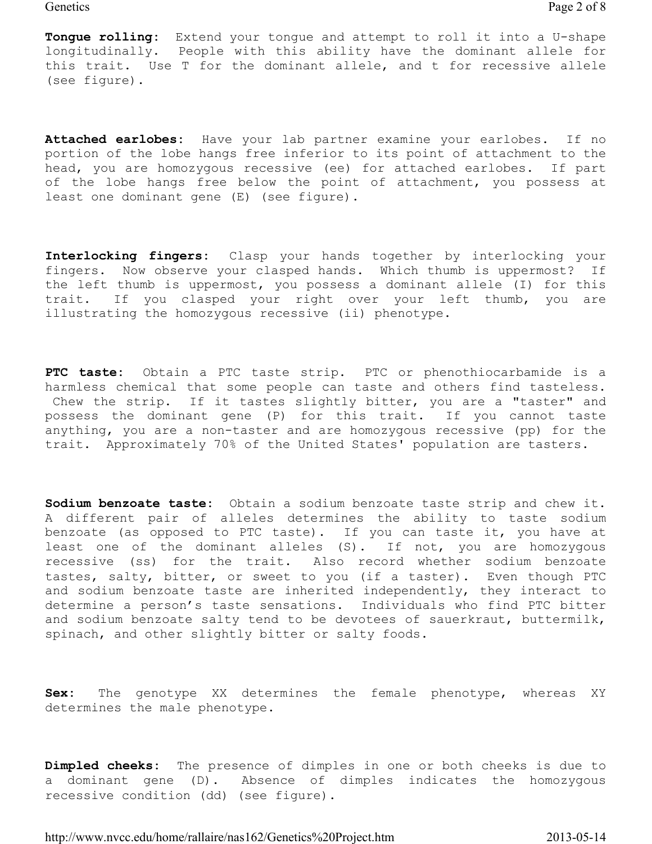Tongue rolling: Extend your tongue and attempt to roll it into a U-shape longitudinally. People with this ability have the dominant allele for this trait. Use T for the dominant allele, and t for recessive allele (see figure).

Attached earlobes: Have your lab partner examine your earlobes. If no portion of the lobe hangs free inferior to its point of attachment to the head, you are homozygous recessive (ee) for attached earlobes. If part of the lobe hangs free below the point of attachment, you possess at least one dominant gene (E) (see figure).

Interlocking fingers: Clasp your hands together by interlocking your fingers. Now observe your clasped hands. Which thumb is uppermost? If the left thumb is uppermost, you possess a dominant allele (I) for this trait. If you clasped your right over your left thumb, you are illustrating the homozygous recessive (ii) phenotype.

PTC taste: Obtain a PTC taste strip. PTC or phenothiocarbamide is a harmless chemical that some people can taste and others find tasteless. Chew the strip. If it tastes slightly bitter, you are a "taster" and possess the dominant gene (P) for this trait. If you cannot taste anything, you are a non-taster and are homozygous recessive (pp) for the trait. Approximately 70% of the United States' population are tasters.

Sodium benzoate taste: Obtain a sodium benzoate taste strip and chew it. A different pair of alleles determines the ability to taste sodium benzoate (as opposed to PTC taste). If you can taste it, you have at least one of the dominant alleles (S). If not, you are homozygous recessive (ss) for the trait. Also record whether sodium benzoate tastes, salty, bitter, or sweet to you (if a taster). Even though PTC and sodium benzoate taste are inherited independently, they interact to determine a person's taste sensations. Individuals who find PTC bitter and sodium benzoate salty tend to be devotees of sauerkraut, buttermilk, spinach, and other slightly bitter or salty foods.

Sex: The genotype XX determines the female phenotype, whereas XY determines the male phenotype.

Dimpled cheeks: The presence of dimples in one or both cheeks is due to a dominant gene (D). Absence of dimples indicates the homozygous recessive condition (dd) (see figure).

http://www.nvcc.edu/home/rallaire/nas162/Genetics%20Project.htm 2013-05-14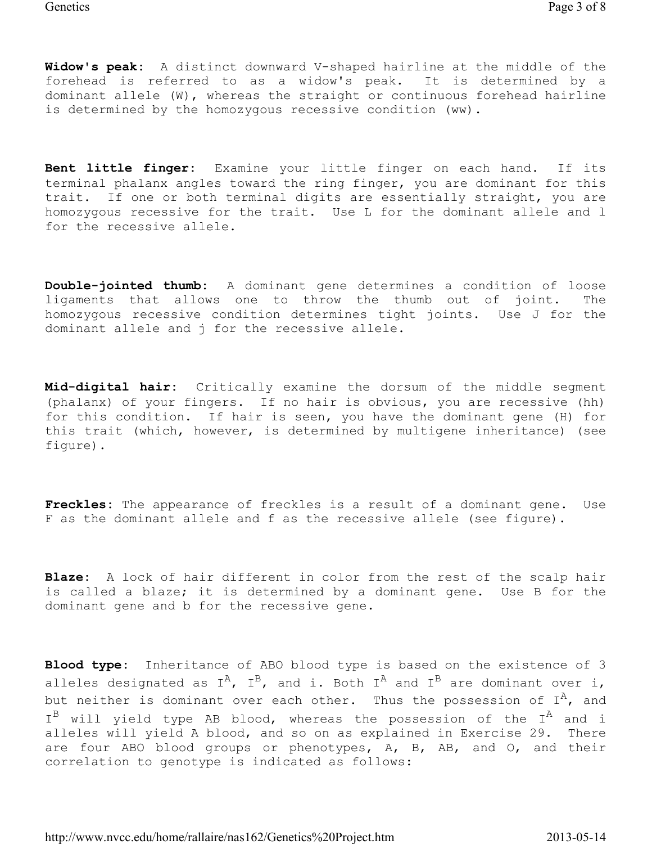Widow's peak: A distinct downward V-shaped hairline at the middle of the forehead is referred to as a widow's peak. It is determined by a dominant allele (W), whereas the straight or continuous forehead hairline is determined by the homozygous recessive condition (ww).

Bent little finger: Examine your little finger on each hand. If its terminal phalanx angles toward the ring finger, you are dominant for this trait. If one or both terminal digits are essentially straight, you are homozygous recessive for the trait. Use L for the dominant allele and l for the recessive allele.

Double-jointed thumb: A dominant gene determines a condition of loose ligaments that allows one to throw the thumb out of joint. The homozygous recessive condition determines tight joints. Use J for the dominant allele and j for the recessive allele.

Mid-digital hair: Critically examine the dorsum of the middle segment (phalanx) of your fingers. If no hair is obvious, you are recessive (hh) for this condition. If hair is seen, you have the dominant gene (H) for this trait (which, however, is determined by multigene inheritance) (see figure).

Freckles: The appearance of freckles is a result of a dominant gene. Use F as the dominant allele and f as the recessive allele (see figure).

**Blaze:** A lock of hair different in color from the rest of the scalp hair is called a blaze; it is determined by a dominant gene. Use B for the dominant gene and b for the recessive gene.

Blood type: Inheritance of ABO blood type is based on the existence of 3 alleles designated as  $I^A$ ,  $I^B$ , and i. Both  $I^A$  and  $I^B$  are dominant over i, but neither is dominant over each other. Thus the possession of  $I^A$ , and  $I^B$  will yield type AB blood, whereas the possession of the  $I^A$  and i alleles will yield A blood, and so on as explained in Exercise 29. There are four ABO blood groups or phenotypes, A, B, AB, and O, and their correlation to genotype is indicated as follows: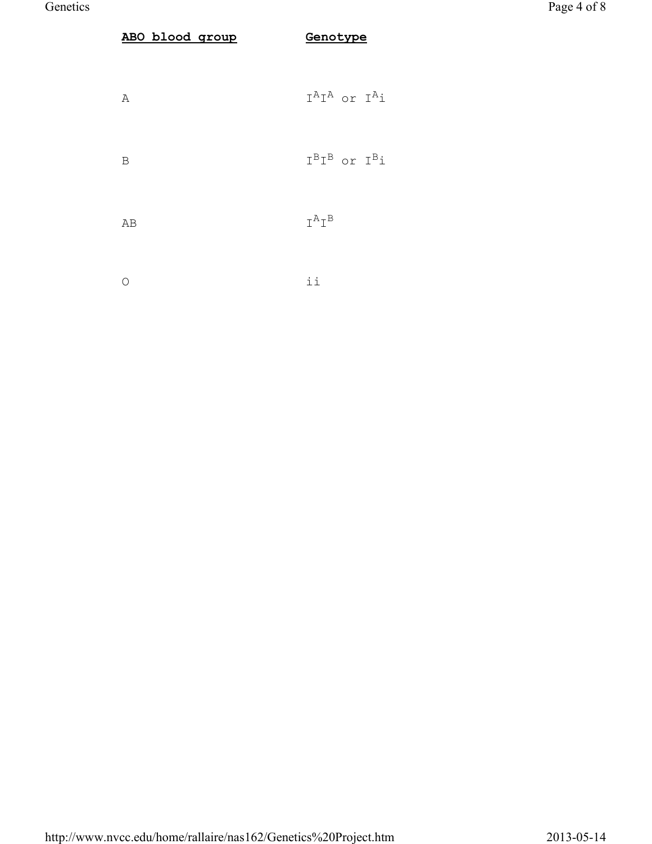| ABO blood group | Genotype             |
|-----------------|----------------------|
|                 |                      |
| Α               | $I^A I^A$ or $I^A$ i |
|                 | $I^B I^B$ or $I^B i$ |
| Β               |                      |
| AB              | $I^A I^B$            |
|                 |                      |
| ∩               | ii                   |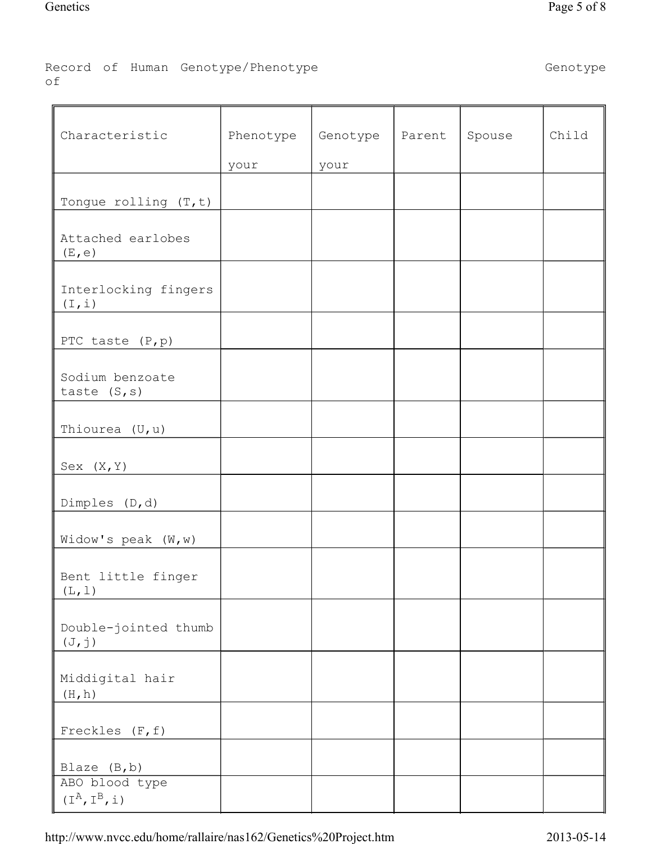$\sqrt{\phantom{a}}$ 

### Record of Human Genotype/Phenotype and the Genotype Genotype of

T

| Characteristic                                                               | Phenotype | Genotype | Parent | Spouse | Child |
|------------------------------------------------------------------------------|-----------|----------|--------|--------|-------|
|                                                                              | your      | your     |        |        |       |
| Tongue rolling $(T, t)$                                                      |           |          |        |        |       |
| Attached earlobes<br>(E, e)                                                  |           |          |        |        |       |
| Interlocking fingers<br>(I, i)                                               |           |          |        |        |       |
| PTC taste (P, p)                                                             |           |          |        |        |       |
| Sodium benzoate<br>taste $(S, s)$                                            |           |          |        |        |       |
| Thiourea (U,u)                                                               |           |          |        |        |       |
| Sex $(X, Y)$                                                                 |           |          |        |        |       |
| Dimples (D,d)                                                                |           |          |        |        |       |
| Widow's peak $(W, w)$                                                        |           |          |        |        |       |
| Bent little finger<br>(L,1)                                                  |           |          |        |        |       |
| Double-jointed thumb<br>(J, j)                                               |           |          |        |        |       |
| Middigital hair<br>(H, h)                                                    |           |          |        |        |       |
| Freckles (F, f)                                                              |           |          |        |        |       |
| Blaze (B,b)                                                                  |           |          |        |        |       |
| ABO blood type<br>$(\texttt{I}^\texttt{A},\texttt{I}^\texttt{B},\texttt{i})$ |           |          |        |        |       |

T

Т

ヿ

Т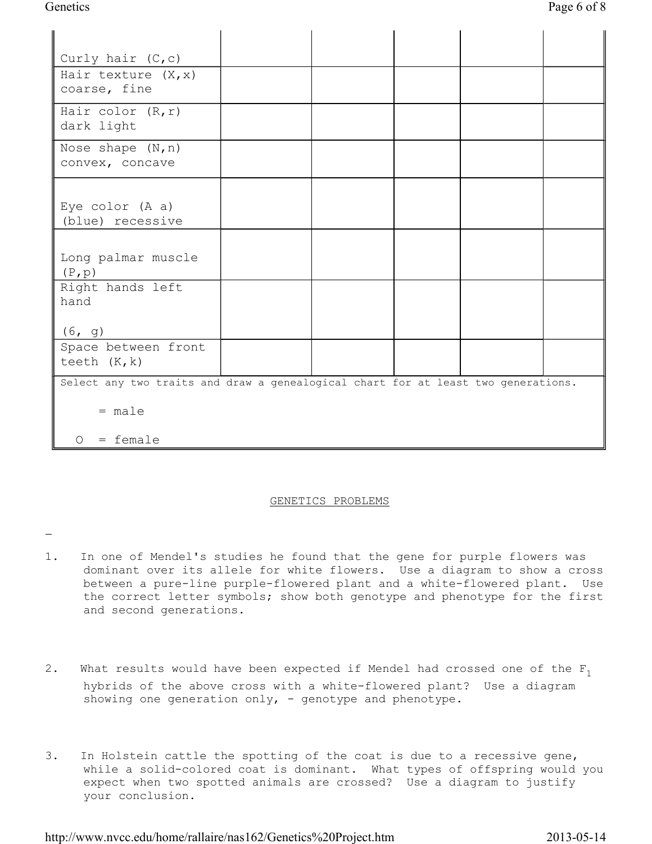| Curly hair $(C, c)$                                                               |  |  |  |  |  |  |  |
|-----------------------------------------------------------------------------------|--|--|--|--|--|--|--|
| Hair texture $(X, x)$                                                             |  |  |  |  |  |  |  |
| coarse, fine                                                                      |  |  |  |  |  |  |  |
| Hair color $(R, r)$                                                               |  |  |  |  |  |  |  |
| dark light                                                                        |  |  |  |  |  |  |  |
| Nose shape $(N, n)$                                                               |  |  |  |  |  |  |  |
| convex, concave                                                                   |  |  |  |  |  |  |  |
|                                                                                   |  |  |  |  |  |  |  |
| Eye color (A a)                                                                   |  |  |  |  |  |  |  |
| (blue) recessive                                                                  |  |  |  |  |  |  |  |
|                                                                                   |  |  |  |  |  |  |  |
| Long palmar muscle                                                                |  |  |  |  |  |  |  |
| (P, p)                                                                            |  |  |  |  |  |  |  |
| Right hands left                                                                  |  |  |  |  |  |  |  |
| hand                                                                              |  |  |  |  |  |  |  |
| (6, g)                                                                            |  |  |  |  |  |  |  |
| Space between front                                                               |  |  |  |  |  |  |  |
| teeth $(K, k)$                                                                    |  |  |  |  |  |  |  |
| Select any two traits and draw a genealogical chart for at least two generations. |  |  |  |  |  |  |  |
|                                                                                   |  |  |  |  |  |  |  |
| $= male$                                                                          |  |  |  |  |  |  |  |
| $0 = female$                                                                      |  |  |  |  |  |  |  |

#### GENETICS PROBLEMS

- 1. In one of Mendel's studies he found that the gene for purple flowers was dominant over its allele for white flowers. Use a diagram to show a cross between a pure-line purple-flowered plant and a white-flowered plant. Use the correct letter symbols; show both genotype and phenotype for the first and second generations.
- 2. What results would have been expected if Mendel had crossed one of the  $F_1$ hybrids of the above cross with a white-flowered plant? Use a diagram showing one generation only,  $-$  genotype and phenotype.
- 3. In Holstein cattle the spotting of the coat is due to a recessive gene, while a solid-colored coat is dominant. What types of offspring would you expect when two spotted animals are crossed? Use a diagram to justify your conclusion.

http://www.nvcc.edu/home/rallaire/nas162/Genetics%20Project.htm 2013-05-14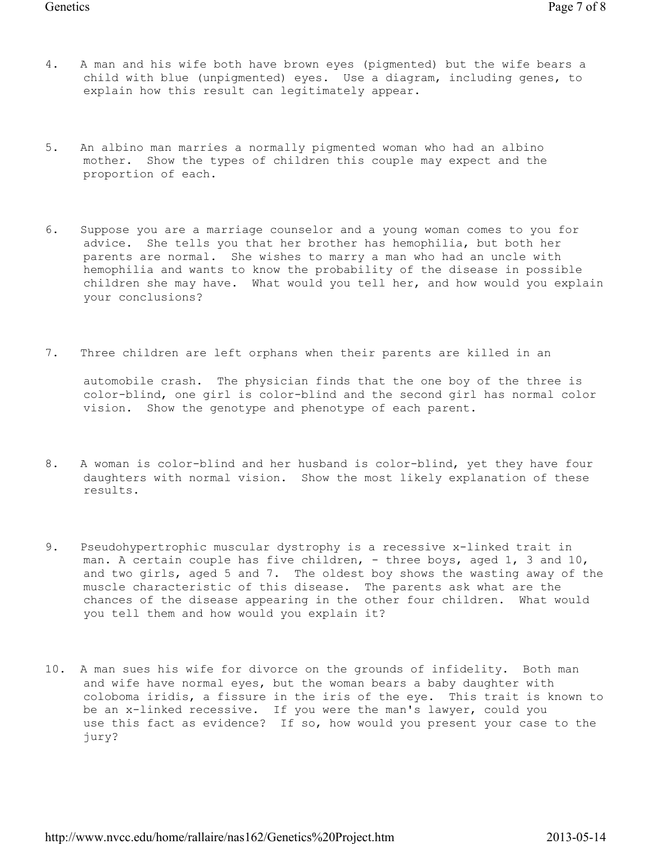- 4. A man and his wife both have brown eyes (pigmented) but the wife bears a child with blue (unpigmented) eyes. Use a diagram, including genes, to explain how this result can legitimately appear.
- 5. An albino man marries a normally pigmented woman who had an albino mother. Show the types of children this couple may expect and the proportion of each.
- 6. Suppose you are a marriage counselor and a young woman comes to you for advice. She tells you that her brother has hemophilia, but both her parents are normal. She wishes to marry a man who had an uncle with hemophilia and wants to know the probability of the disease in possible children she may have. What would you tell her, and how would you explain your conclusions?
- 7. Three children are left orphans when their parents are killed in an

automobile crash. The physician finds that the one boy of the three is color-blind, one girl is color-blind and the second girl has normal color vision. Show the genotype and phenotype of each parent.

- 8. A woman is color-blind and her husband is color-blind, yet they have four daughters with normal vision. Show the most likely explanation of these results.
- 9. Pseudohypertrophic muscular dystrophy is a recessive x-linked trait in man. A certain couple has five children,  $-$  three boys, aged 1, 3 and 10, and two girls, aged 5 and 7. The oldest boy shows the wasting away of the muscle characteristic of this disease. The parents ask what are the chances of the disease appearing in the other four children. What would you tell them and how would you explain it?
- 10. A man sues his wife for divorce on the grounds of infidelity. Both man and wife have normal eyes, but the woman bears a baby daughter with coloboma iridis, a fissure in the iris of the eye. This trait is known to be an x-linked recessive. If you were the man's lawyer, could you use this fact as evidence? If so, how would you present your case to the jury?